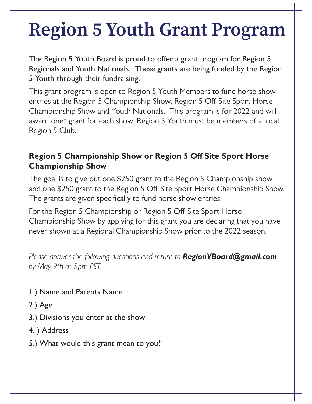## **Region 5 Youth Grant Program**

The Region 5 Youth Board is proud to offer a grant program for Region 5 Regionals and Youth Nationals. These grants are being funded by the Region 5 Youth through their fundraising.

entries at the Region 5 Championship Show, Region 5 Off Site Sport Horse This grant program is open to Region 5 Youth Members to fund horse show Championship Show and Youth Nationals. This program is for 2022 and will award one\* grant for each show. Region 5 Youth must be members of a local Region 5 Club.

## **Region 5 Championship Show or Region 5 Off Site Sport Horse Championship Show**

The goal is to give out one \$250 grant to the Region 5 Championship show and one \$250 grant to the Region 5 Off Site Sport Horse Championship Show. The grants are given specifically to fund horse show entries.

For the Region 5 Championship or Region 5 Off Site Sport Horse Championship Show by applying for this grant you are declaring that you have never shown at a Regional Championship Show prior to the 2022 season.

*Please answer the following questions and return to RegionVBoard@gmail.com by May 9th at 5pm PST.*

- 1.) Name and Parents Name
- 2.) Age
- 3.) Divisions you enter at the show
- 4. ) Address
- 5.) What would this grant mean to you?